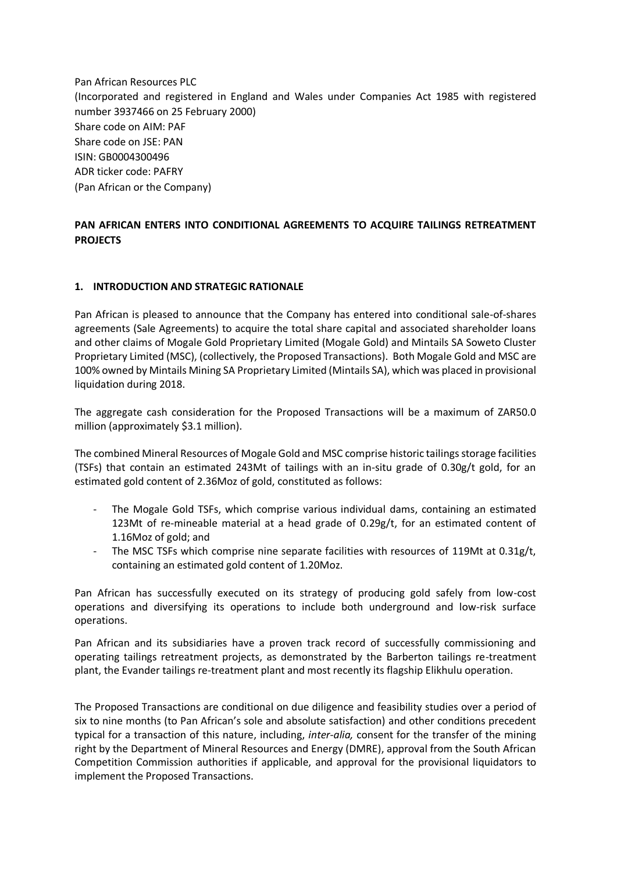Pan African Resources PLC (Incorporated and registered in England and Wales under Companies Act 1985 with registered number 3937466 on 25 February 2000) Share code on AIM: PAF Share code on JSE: PAN ISIN: GB0004300496 ADR ticker code: PAFRY (Pan African or the Company)

# **PAN AFRICAN ENTERS INTO CONDITIONAL AGREEMENTS TO ACQUIRE TAILINGS RETREATMENT PROJECTS**

### **1. INTRODUCTION AND STRATEGIC RATIONALE**

Pan African is pleased to announce that the Company has entered into conditional sale-of-shares agreements (Sale Agreements) to acquire the total share capital and associated shareholder loans and other claims of Mogale Gold Proprietary Limited (Mogale Gold) and Mintails SA Soweto Cluster Proprietary Limited (MSC), (collectively, the Proposed Transactions). Both Mogale Gold and MSC are 100% owned by Mintails Mining SA Proprietary Limited (Mintails SA), which was placed in provisional liquidation during 2018.

The aggregate cash consideration for the Proposed Transactions will be a maximum of ZAR50.0 million (approximately \$3.1 million).

The combined Mineral Resources of Mogale Gold and MSC comprise historic tailings storage facilities (TSFs) that contain an estimated 243Mt of tailings with an in-situ grade of 0.30g/t gold, for an estimated gold content of 2.36Moz of gold, constituted as follows:

- The Mogale Gold TSFs, which comprise various individual dams, containing an estimated 123Mt of re-mineable material at a head grade of  $0.29g/t$ , for an estimated content of 1.16Moz of gold; and
- The MSC TSFs which comprise nine separate facilities with resources of 119Mt at  $0.31g/t$ , containing an estimated gold content of 1.20Moz.

Pan African has successfully executed on its strategy of producing gold safely from low-cost operations and diversifying its operations to include both underground and low-risk surface operations.

Pan African and its subsidiaries have a proven track record of successfully commissioning and operating tailings retreatment projects, as demonstrated by the Barberton tailings re-treatment plant, the Evander tailings re-treatment plant and most recently its flagship Elikhulu operation.

The Proposed Transactions are conditional on due diligence and feasibility studies over a period of six to nine months (to Pan African's sole and absolute satisfaction) and other conditions precedent typical for a transaction of this nature, including, *inter-alia,* consent for the transfer of the mining right by the Department of Mineral Resources and Energy (DMRE), approval from the South African Competition Commission authorities if applicable, and approval for the provisional liquidators to implement the Proposed Transactions.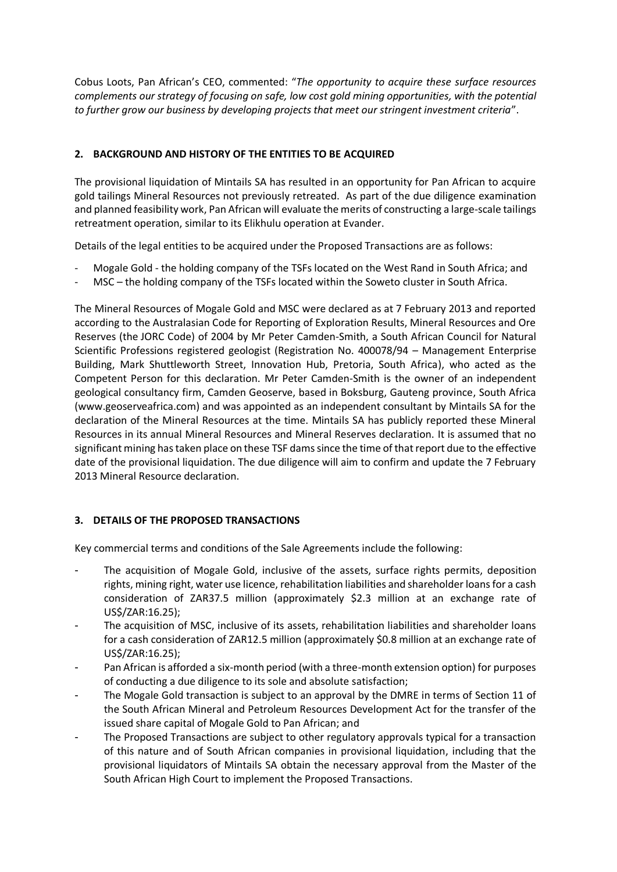Cobus Loots, Pan African's CEO, commented: "*The opportunity to acquire these surface resources complements our strategy of focusing on safe, low cost gold mining opportunities, with the potential to further grow our business by developing projects that meet our stringent investment criteria*".

# **2. BACKGROUND AND HISTORY OF THE ENTITIES TO BE ACQUIRED**

The provisional liquidation of Mintails SA has resulted in an opportunity for Pan African to acquire gold tailings Mineral Resources not previously retreated. As part of the due diligence examination and planned feasibility work, Pan African will evaluate the merits of constructing a large-scale tailings retreatment operation, similar to its Elikhulu operation at Evander.

Details of the legal entities to be acquired under the Proposed Transactions are as follows:

- Mogale Gold the holding company of the TSFs located on the West Rand in South Africa; and
- MSC the holding company of the TSFs located within the Soweto cluster in South Africa.

The Mineral Resources of Mogale Gold and MSC were declared as at 7 February 2013 and reported according to the Australasian Code for Reporting of Exploration Results, Mineral Resources and Ore Reserves (the JORC Code) of 2004 by Mr Peter Camden-Smith, a South African Council for Natural Scientific Professions registered geologist (Registration No. 400078/94 – Management Enterprise Building, Mark Shuttleworth Street, Innovation Hub, Pretoria, South Africa), who acted as the Competent Person for this declaration. Mr Peter Camden-Smith is the owner of an independent geological consultancy firm, Camden Geoserve, based in Boksburg, Gauteng province, South Africa (www.geoserveafrica.com) and was appointed as an independent consultant by Mintails SA for the declaration of the Mineral Resources at the time. Mintails SA has publicly reported these Mineral Resources in its annual Mineral Resources and Mineral Reserves declaration. It is assumed that no significant mining has taken place on these TSF dams since the time of that report due to the effective date of the provisional liquidation. The due diligence will aim to confirm and update the 7 February 2013 Mineral Resource declaration.

## **3. DETAILS OF THE PROPOSED TRANSACTIONS**

Key commercial terms and conditions of the Sale Agreements include the following:

- The acquisition of Mogale Gold, inclusive of the assets, surface rights permits, deposition rights, mining right, water use licence, rehabilitation liabilities and shareholder loans for a cash consideration of ZAR37.5 million (approximately \$2.3 million at an exchange rate of US\$/ZAR:16.25);
- The acquisition of MSC, inclusive of its assets, rehabilitation liabilities and shareholder loans for a cash consideration of ZAR12.5 million (approximately \$0.8 million at an exchange rate of US\$/ZAR:16.25);
- Pan African is afforded a six-month period (with a three-month extension option) for purposes of conducting a due diligence to its sole and absolute satisfaction;
- The Mogale Gold transaction is subject to an approval by the DMRE in terms of Section 11 of the South African Mineral and Petroleum Resources Development Act for the transfer of the issued share capital of Mogale Gold to Pan African; and
- The Proposed Transactions are subject to other regulatory approvals typical for a transaction of this nature and of South African companies in provisional liquidation, including that the provisional liquidators of Mintails SA obtain the necessary approval from the Master of the South African High Court to implement the Proposed Transactions.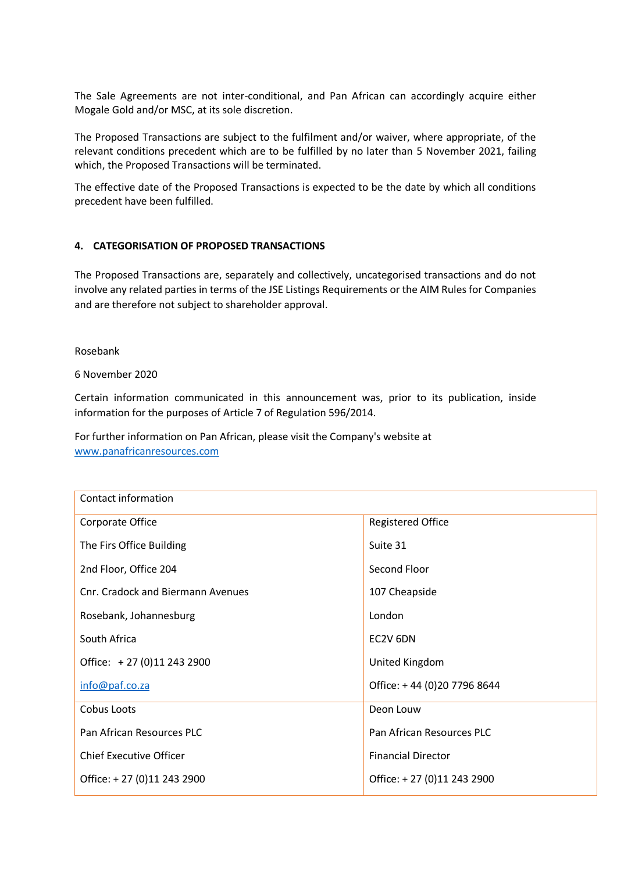The Sale Agreements are not inter-conditional, and Pan African can accordingly acquire either Mogale Gold and/or MSC, at its sole discretion.

The Proposed Transactions are subject to the fulfilment and/or waiver, where appropriate, of the relevant conditions precedent which are to be fulfilled by no later than 5 November 2021, failing which, the Proposed Transactions will be terminated.

The effective date of the Proposed Transactions is expected to be the date by which all conditions precedent have been fulfilled.

### **4. CATEGORISATION OF PROPOSED TRANSACTIONS**

The Proposed Transactions are, separately and collectively, uncategorised transactions and do not involve any related parties in terms of the JSE Listings Requirements or the AIM Rules for Companies and are therefore not subject to shareholder approval.

Rosebank

6 November 2020

Certain information communicated in this announcement was, prior to its publication, inside information for the purposes of Article 7 of Regulation 596/2014.

For further information on Pan African, please visit the Company's website at [www.panafricanresources.com](http://www.panafricanresources.com/)

| Contact information               |                             |
|-----------------------------------|-----------------------------|
| Corporate Office                  | <b>Registered Office</b>    |
| The Firs Office Building          | Suite 31                    |
| 2nd Floor, Office 204             | Second Floor                |
| Cnr. Cradock and Biermann Avenues | 107 Cheapside               |
| Rosebank, Johannesburg            | London                      |
| South Africa                      | EC2V 6DN                    |
| Office: $+27(0)112432900$         | United Kingdom              |
| info@paf.co.za                    | Office: +44 (0)20 7796 8644 |
| Cobus Loots                       | Deon Louw                   |
| Pan African Resources PLC         | Pan African Resources PLC   |
| <b>Chief Executive Officer</b>    | <b>Financial Director</b>   |
| Office: +27 (0)11 243 2900        | Office: +27 (0)11 243 2900  |